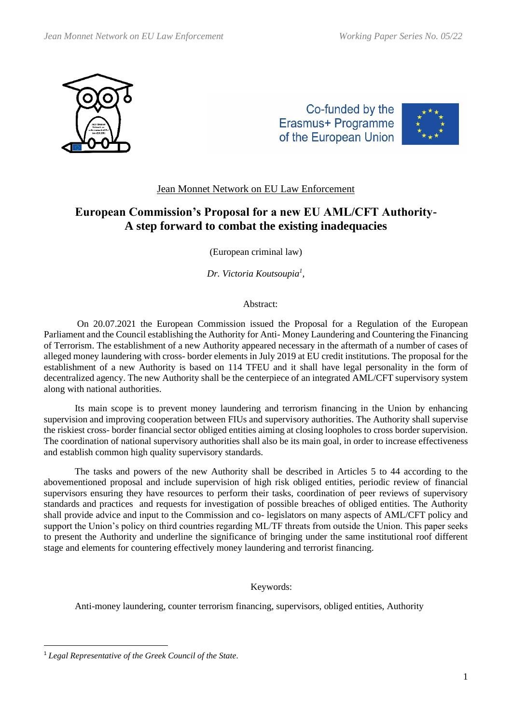

Co-funded by the Erasmus+ Programme of the European Union



# Jean Monnet Network on EU Law Enforcement

# **European Commission's Proposal for a new EU AML/CFT Authority-A step forward to combat the existing inadequacies**

(European criminal law)

*Dr. Victoria Koutsoupia<sup>1</sup> ,*

# Abstract:

On 20.07.2021 the European Commission issued the Proposal for a Regulation of the European Parliament and the Council establishing the Authority for Anti- Money Laundering and Countering the Financing of Terrorism. The establishment of a new Authority appeared necessary in the aftermath of a number of cases of alleged money laundering with cross- border elements in July 2019 at EU credit institutions. The proposal for the establishment of a new Authority is based on 114 TFEU and it shall have legal personality in the form of decentralized agency. The new Authority shall be the centerpiece of an integrated AML/CFT supervisory system along with national authorities.

Its main scope is to prevent money laundering and terrorism financing in the Union by enhancing supervision and improving cooperation between FIUs and supervisory authorities. The Authority shall supervise the riskiest cross- border financial sector obliged entities aiming at closing loopholes to cross border supervision. The coordination of national supervisory authorities shall also be its main goal, in order to increase effectiveness and establish common high quality supervisory standards.

The tasks and powers of the new Authority shall be described in Articles 5 to 44 according to the abovementioned proposal and include supervision of high risk obliged entities, periodic review of financial supervisors ensuring they have resources to perform their tasks, coordination of peer reviews of supervisory standards and practices and requests for investigation of possible breaches of obliged entities. The Authority shall provide advice and input to the Commission and co- legislators on many aspects of AML/CFT policy and support the Union's policy on third countries regarding ML/TF threats from outside the Union. This paper seeks to present the Authority and underline the significance of bringing under the same institutional roof different stage and elements for countering effectively money laundering and terrorist financing.

# Keywords:

Anti-money laundering, counter terrorism financing, supervisors, obliged entities, Authority

<sup>1</sup> *Legal Representative of the Greek Council of the State.*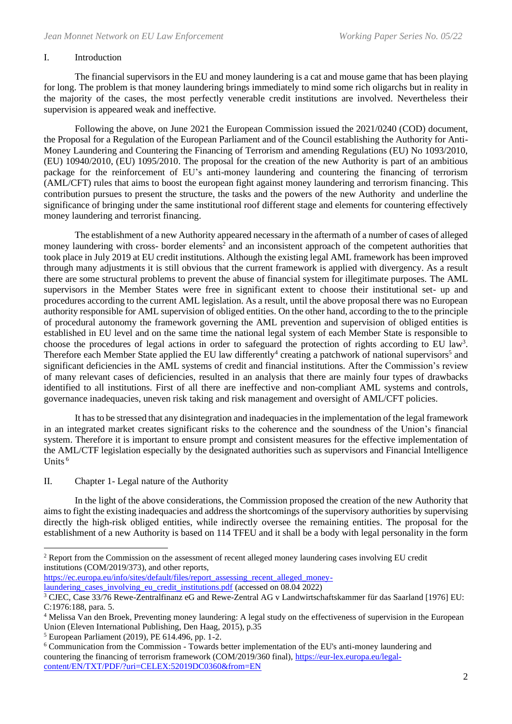#### I. Introduction

The financial supervisors in the EU and money laundering is a cat and mouse game that has been playing for long. The problem is that money laundering brings immediately to mind some rich oligarchs but in reality in the majority of the cases, the most perfectly venerable credit institutions are involved. Nevertheless their supervision is appeared weak and ineffective.

Following the above, on June 2021 the European Commission issued the 2021/0240 (COD) document, the Proposal for a Regulation of the European Parliament and of the Council establishing the Authority for Anti-Money Laundering and Countering the Financing of Terrorism and amending Regulations (EU) No 1093/2010, (EU) 10940/2010, (EU) 1095/2010. The proposal for the creation of the new Authority is part of an ambitious package for the reinforcement of EU's anti-money laundering and countering the financing of terrorism (AML/CFT) rules that aims to boost the european fight against money laundering and terrorism financing. This contribution pursues to present the structure, the tasks and the powers of the new Authority and underline the significance of bringing under the same institutional roof different stage and elements for countering effectively money laundering and terrorist financing.

The establishment of a new Authority appeared necessary in the aftermath of a number of cases of alleged money laundering with cross- border elements<sup>2</sup> and an inconsistent approach of the competent authorities that took place in July 2019 at EU credit institutions. Although the existing legal AML framework has been improved through many adjustments it is still obvious that the current framework is applied with divergency. As a result there are some structural problems to prevent the abuse of financial system for illegitimate purposes. The AML supervisors in the Member States were free in significant extent to choose their institutional set- up and procedures according to the current AML legislation. As a result, until the above proposal there was no European authority responsible for AML supervision of obliged entities. On the other hand, according to the to the principle of procedural autonomy the framework governing the AML prevention and supervision of obliged entities is established in EU level and on the same time the national legal system of each Member State is responsible to choose the procedures of legal actions in order to safeguard the protection of rights according to EU law<sup>3</sup>. Therefore each Member State applied the EU law differently<sup>4</sup> creating a patchwork of national supervisors<sup>5</sup> and significant deficiencies in the AML systems of credit and financial institutions. After the Commission's review of many relevant cases of deficiencies, resulted in an analysis that there are mainly four types of drawbacks identified to all institutions. First of all there are ineffective and non-compliant AML systems and controls, governance inadequacies, uneven risk taking and risk management and oversight of AML/CFT policies.

It has to be stressed that any disintegration and inadequacies in the implementation of the legal framework in an integrated market creates significant risks to the coherence and the soundness of the Union's financial system. Therefore it is important to ensure prompt and consistent measures for the effective implementation of the AML/CTF legislation especially by the designated authorities such as supervisors and Financial Intelligence Units  $6$ 

# II. Chapter 1- Legal nature of the Authority

In the light of the above considerations, the Commission proposed the creation of the new Authority that aims to fight the existing inadequacies and address the shortcomings of the supervisory authorities by supervising directly the high-risk obliged entities, while indirectly oversee the remaining entities. The proposal for the establishment of a new Authority is based on 114 TFEU and it shall be a body with legal personality in the form

[https://ec.europa.eu/info/sites/default/files/report\\_assessing\\_recent\\_alleged\\_money](https://ec.europa.eu/info/sites/default/files/report_assessing_recent_alleged_money-laundering_cases_involving_eu_credit_institutions.pdf)[laundering\\_cases\\_involving\\_eu\\_credit\\_institutions.pdf](https://ec.europa.eu/info/sites/default/files/report_assessing_recent_alleged_money-laundering_cases_involving_eu_credit_institutions.pdf) (accessed on 08.04 2022)

<sup>&</sup>lt;sup>2</sup> Report from the Commission on the assessment of recent alleged money laundering cases involving EU credit institutions (COM/2019/373), and other reports,

<sup>&</sup>lt;sup>3</sup> CJEC, Case 33/76 Rewe-Zentralfinanz eG and Rewe-Zentral AG v Landwirtschaftskammer für das Saarland [1976] EU: C:1976:188, para. 5.

<sup>4</sup> Melissa Van den Broek, Preventing money laundering: A legal study on the effectiveness of supervision in the European Union (Eleven International Publishing, Den Haag, 2015), p.35

<sup>5</sup> European Parliament (2019), PE 614.496, pp. 1-2.

<sup>6</sup> Communication from the Commission - Towards better implementation of the EU's anti-money laundering and countering the financing of terrorism framework (COM/2019/360 final), [https://eur-lex.europa.eu/legal](https://eur-lex.europa.eu/legal-content/EN/TXT/PDF/?uri=CELEX:52019DC0360&from=EN)[content/EN/TXT/PDF/?uri=CELEX:52019DC0360&from=EN](https://eur-lex.europa.eu/legal-content/EN/TXT/PDF/?uri=CELEX:52019DC0360&from=EN)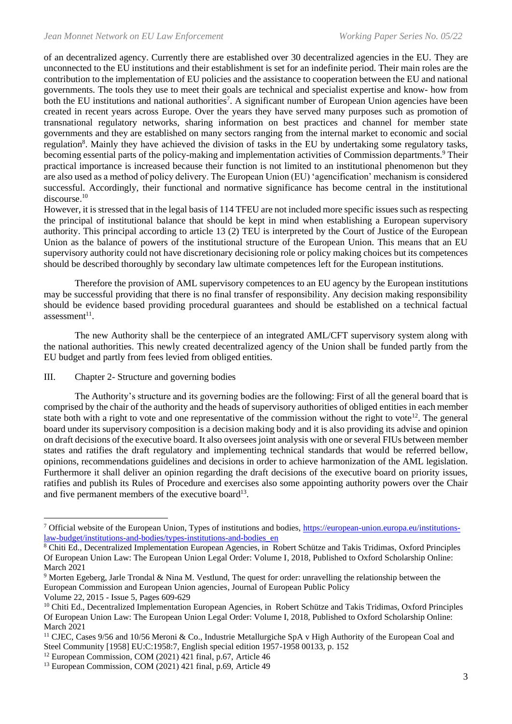of an decentralized agency. Currently there are established over 30 decentralized agencies in the EU. They are unconnected to the EU institutions and their establishment is set for an indefinite period. Their main roles are the contribution to the implementation of EU policies and the assistance to cooperation between the EU and national governments. The tools they use to meet their goals are technical and specialist expertise and know- how from both the EU institutions and national authorities<sup>7</sup>. A significant number of European Union agencies have been created in recent years across Europe. Over the years they have served many purposes such as promotion of transnational regulatory networks, sharing information on best practices and channel for member state governments and they are established on many sectors ranging from the internal market to economic and social regulation<sup>8</sup>. Mainly they have achieved the division of tasks in the EU by undertaking some regulatory tasks, becoming essential parts of the policy-making and implementation activities of Commission departments.<sup>9</sup> Their practical importance is increased because their function is not limited to an institutional phenomenon but they are also used as a method of policy delivery. The European Union (EU) 'agencification' mechanism is considered successful. Accordingly, their functional and normative significance has become central in the institutional discourse. 10

However, it is stressed that in the legal basis of 114 TFEU are not included more specific issues such as respecting the principal of institutional balance that should be kept in mind when establishing a European supervisory authority. This principal according to article 13 (2) TEU is interpreted by the Court of Justice of the European Union as the balance of powers of the institutional structure of the European Union. This means that an EU supervisory authority could not have discretionary decisioning role or policy making choices but its competences should be described thoroughly by secondary law ultimate competences left for the European institutions.

Therefore the provision of AML supervisory competences to an EU agency by the European institutions may be successful providing that there is no final transfer of responsibility. Any decision making responsibility should be evidence based providing procedural guarantees and should be established on a technical factual assessment<sup>11</sup>.

The new Authority shall be the centerpiece of an integrated AML/CFT supervisory system along with the national authorities. This newly created decentralized agency of the Union shall be funded partly from the EU budget and partly from fees levied from obliged entities.

#### III. Chapter 2- Structure and governing bodies

The Authority's structure and its governing bodies are the following: First of all the general board that is comprised by the chair of the authority and the heads of supervisory authorities of obliged entities in each member state both with a right to vote and one representative of the commission without the right to vote<sup>12</sup>. The general board under its supervisory composition is a decision making body and it is also providing its advise and opinion on draft decisions of the executive board. It also oversees joint analysis with one or several FIUs between member states and ratifies the draft regulatory and implementing technical standards that would be referred bellow, opinions, recommendations guidelines and decisions in order to achieve harmonization of the AML legislation. Furthermore it shall deliver an opinion regarding the draft decisions of the executive board on priority issues, ratifies and publish its Rules of Procedure and exercises also some appointing authority powers over the Chair and five permanent members of the executive board $13$ .

<sup>7</sup> Official website of the European Union, Types of institutions and bodies, [https://european-union.europa.eu/institutions](https://european-union.europa.eu/institutions-law-budget/institutions-and-bodies/types-institutions-and-bodies_en)[law-budget/institutions-and-bodies/types-institutions-and-bodies\\_en](https://european-union.europa.eu/institutions-law-budget/institutions-and-bodies/types-institutions-and-bodies_en)

<sup>8</sup> Chiti Ed., Decentralized Implementation European Agencies, in Robert Schütze and Takis Tridimas, Oxford Principles Of European Union Law: The European Union Legal Order: Volume I, 2018, Published to Oxford Scholarship Online: March 2021

<sup>9</sup> Morten Egeberg, Jarle Trondal & Nina M. Vestlund, The quest for order: unravelling the relationship between the European Commission and European Union agencies, Journal of European Public Policy

Volume 22, 2015 - Issue 5, Pages 609-629

<sup>&</sup>lt;sup>10</sup> Chiti Ed., Decentralized Implementation European Agencies, in Robert Schütze and Takis Tridimas, Oxford Principles Of European Union Law: The European Union Legal Order: Volume I, 2018, Published to Oxford Scholarship Online: March 2021

<sup>11</sup> CJEC, Cases 9/56 and 10/56 Meroni & Co., Industrie Metallurgiche SpA v High Authority of the European Coal and Steel Community [1958] EU:C:1958:7, English special edition 1957-1958 00133, p. 152

<sup>&</sup>lt;sup>12</sup> European Commission, COM (2021) 421 final, p.67, Article 46

<sup>&</sup>lt;sup>13</sup> European Commission, COM (2021) 421 final, p.69, Article 49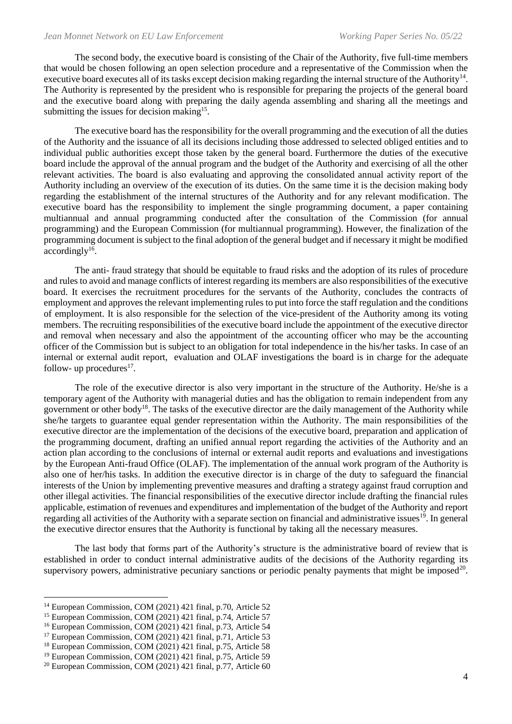The second body, the executive board is consisting of the Chair of the Authority, five full-time members that would be chosen following an open selection procedure and a representative of the Commission when the executive board executes all of its tasks except decision making regarding the internal structure of the Authority<sup>14</sup>. The Authority is represented by the president who is responsible for preparing the projects of the general board and the executive board along with preparing the daily agenda assembling and sharing all the meetings and submitting the issues for decision making<sup>15</sup>.

The executive board has the responsibility for the overall programming and the execution of all the duties of the Authority and the issuance of all its decisions including those addressed to selected obliged entities and to individual public authorities except those taken by the general board. Furthermore the duties of the executive board include the approval of the annual program and the budget of the Authority and exercising of all the other relevant activities. The board is also evaluating and approving the consolidated annual activity report of the Authority including an overview of the execution of its duties. On the same time it is the decision making body regarding the establishment of the internal structures of the Authority and for any relevant modification. The executive board has the responsibility to implement the single programming document, a paper containing multiannual and annual programming conducted after the consultation of the Commission (for annual programming) and the European Commission (for multiannual programming). However, the finalization of the programming document is subject to the final adoption of the general budget and if necessary it might be modified accordingly<sup>16</sup>.

The anti- fraud strategy that should be equitable to fraud risks and the adoption of its rules of procedure and rules to avoid and manage conflicts of interest regarding its members are also responsibilities of the executive board. It exercises the recruitment procedures for the servants of the Authority, concludes the contracts of employment and approves the relevant implementing rules to put into force the staff regulation and the conditions of employment. It is also responsible for the selection of the vice-president of the Authority among its voting members. The recruiting responsibilities of the executive board include the appointment of the executive director and removal when necessary and also the appointment of the accounting officer who may be the accounting officer of the Commission but is subject to an obligation for total independence in the his/her tasks. In case of an internal or external audit report, evaluation and OLAF investigations the board is in charge for the adequate follow- up procedures $^{17}$ .

Τhe role of the executive director is also very important in the structure of the Authority. He/she is a temporary agent of the Authority with managerial duties and has the obligation to remain independent from any government or other body<sup>18</sup>. The tasks of the executive director are the daily management of the Authority while she/he targets to guarantee equal gender representation within the Authority. The main responsibilities of the executive director are the implementation of the decisions of the executive board, preparation and application of the programming document, drafting an unified annual report regarding the activities of the Authority and an action plan according to the conclusions of internal or external audit reports and evaluations and investigations by the European Anti-fraud Office (OLAF). The implementation of the annual work program of the Authority is also one of her/his tasks. In addition the executive director is in charge of the duty to safeguard the financial interests of the Union by implementing preventive measures and drafting a strategy against fraud corruption and other illegal activities. The financial responsibilities of the executive director include drafting the financial rules applicable, estimation of revenues and expenditures and implementation of the budget of the Authority and report regarding all activities of the Authority with a separate section on financial and administrative issues<sup>19</sup>. In general the executive director ensures that the Authority is functional by taking all the necessary measures.

The last body that forms part of the Authority's structure is the administrative board of review that is established in order to conduct internal administrative audits of the decisions of the Authority regarding its supervisory powers, administrative pecuniary sanctions or periodic penalty payments that might be imposed $20$ .

 $14$  European Commission, COM (2021) 421 final, p.70, Article 52

<sup>&</sup>lt;sup>15</sup> European Commission, COM  $(2021)$  421 final, p.74, Article 57

<sup>&</sup>lt;sup>16</sup> European Commission, COM (2021) 421 final, p.73, Article 54

 $17$  European Commission, COM (2021) 421 final, p.71, Article 53

<sup>&</sup>lt;sup>18</sup> European Commission, COM (2021) 421 final, p.75, Article 58

<sup>19</sup> European Commission, COM (2021) 421 final, p.75, Article 59

 $20$  European Commission, COM (2021) 421 final, p.77, Article 60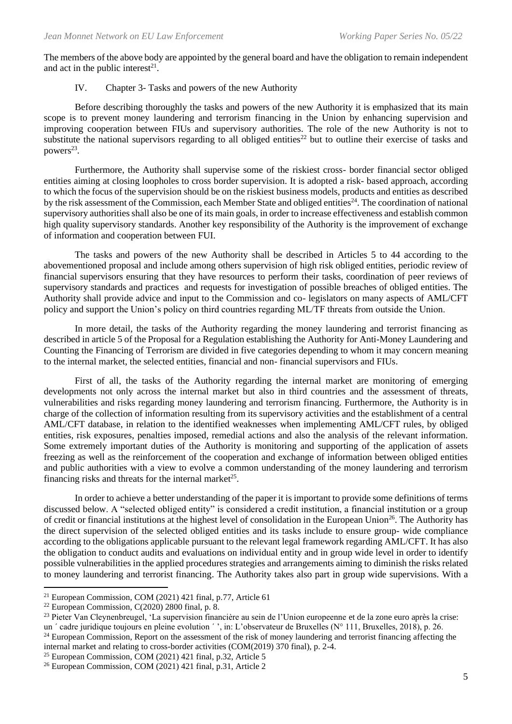The members of the above body are appointed by the general board and have the obligation to remain independent and act in the public interest $2<sup>1</sup>$ .

#### IV. Chapter 3- Tasks and powers of the new Authority

Before describing thoroughly the tasks and powers of the new Authority it is emphasized that its main scope is to prevent money laundering and terrorism financing in the Union by enhancing supervision and improving cooperation between FIUs and supervisory authorities. The role of the new Authority is not to substitute the national supervisors regarding to all obliged entities<sup>22</sup> but to outline their exercise of tasks and powers<sup>23</sup>.

Furthermore, the Authority shall supervise some of the riskiest cross- border financial sector obliged entities aiming at closing loopholes to cross border supervision. It is adopted a risk- based approach, according to which the focus of the supervision should be on the riskiest business models, products and entities as described by the risk assessment of the Commission, each Member State and obliged entities<sup>24</sup>. The coordination of national supervisory authorities shall also be one of its main goals, in order to increase effectiveness and establish common high quality supervisory standards. Another key responsibility of the Authority is the improvement of exchange of information and cooperation between FUI.

The tasks and powers of the new Authority shall be described in Articles 5 to 44 according to the abovementioned proposal and include among others supervision of high risk obliged entities, periodic review of financial supervisors ensuring that they have resources to perform their tasks, coordination of peer reviews of supervisory standards and practices and requests for investigation of possible breaches of obliged entities. The Authority shall provide advice and input to the Commission and co- legislators on many aspects of AML/CFT policy and support the Union's policy on third countries regarding ML/TF threats from outside the Union.

In more detail, the tasks of the Authority regarding the money laundering and terrorist financing as described in article 5 of the Proposal for a Regulation establishing the Authority for Anti-Money Laundering and Counting the Financing of Terrorism are divided in five categories depending to whom it may concern meaning to the internal market, the selected entities, financial and non- financial supervisors and FIUs.

First of all, the tasks of the Authority regarding the internal market are monitoring of emerging developments not only across the internal market but also in third countries and the assessment of threats, vulnerabilities and risks regarding money laundering and terrorism financing. Furthermore, the Authority is in charge of the collection of information resulting from its supervisory activities and the establishment of a central AML/CFT database, in relation to the identified weaknesses when implementing AML/CFT rules, by obliged entities, risk exposures, penalties imposed, remedial actions and also the analysis of the relevant information. Some extremely important duties of the Authority is monitoring and supporting of the application of assets freezing as well as the reinforcement of the cooperation and exchange of information between obliged entities and public authorities with a view to evolve a common understanding of the money laundering and terrorism financing risks and threats for the internal market<sup>25</sup>.

In order to achieve a better understanding of the paper it is important to provide some definitions of terms discussed below. A "selected obliged entity" is considered a credit institution, a financial institution or a group of credit or financial institutions at the highest level of consolidation in the European Union<sup>26</sup>. The Authority has the direct supervision of the selected obliged entities and its tasks include to ensure group- wide compliance according to the obligations applicable pursuant to the relevant legal framework regarding AML/CFT. It has also the obligation to conduct audits and evaluations on individual entity and in group wide level in order to identify possible vulnerabilities in the applied procedures strategies and arrangements aiming to diminish the risks related to money laundering and terrorist financing. The Authority takes also part in group wide supervisions. With a

 $21$  European Commission, COM (2021) 421 final, p.77, Article 61

<sup>&</sup>lt;sup>22</sup> European Commission, C(2020) 2800 final, p. 8.

<sup>23</sup> Pieter Van Cleynenbreugel, 'La supervision financière au sein de l'Union europeenne et de la zone euro après la crise: un ' cadre juridique toujours en pleine evolution ' ', in: L'observateur de Bruxelles (N° 111, Bruxelles, 2018), p. 26.

 $^{24}$  European Commission, Report on the assessment of the risk of money laundering and terrorist financing affecting the internal market and relating to cross-border activities (COM(2019) 370 final), p. 2-4.

 $25$  European Commission, COM (2021) 421 final, p.32, Article 5

<sup>26</sup> European Commission, COM (2021) 421 final, p.31, Article 2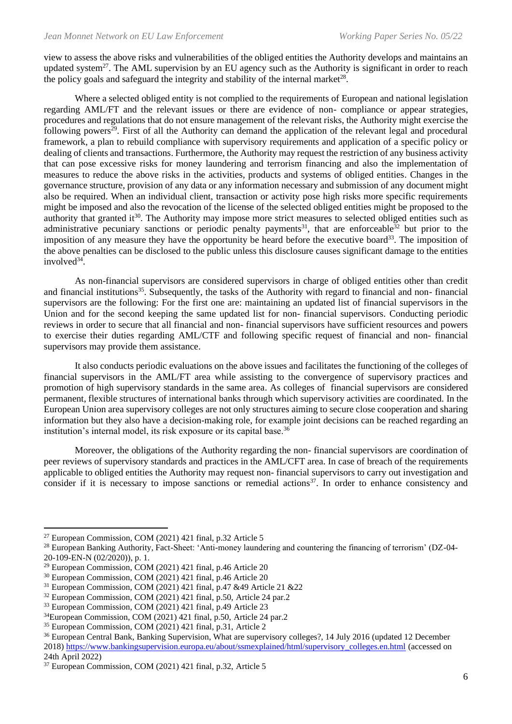view to assess the above risks and vulnerabilities of the obliged entities the Authority develops and maintains an updated system<sup>27</sup>. The AML supervision by an EU agency such as the Authority is significant in order to reach the policy goals and safeguard the integrity and stability of the internal market $^{28}$ .

Where a selected obliged entity is not complied to the requirements of European and national legislation regarding AML/FT and the relevant issues or there are evidence of non- compliance or appear strategies, procedures and regulations that do not ensure management of the relevant risks, the Authority might exercise the following powers<sup>29</sup>. First of all the Authority can demand the application of the relevant legal and procedural framework, a plan to rebuild compliance with supervisory requirements and application of a specific policy or dealing of clients and transactions. Furthermore, the Authority may request the restriction of any business activity that can pose excessive risks for money laundering and terrorism financing and also the implementation of measures to reduce the above risks in the activities, products and systems of obliged entities. Changes in the governance structure, provision of any data or any information necessary and submission of any document might also be required. When an individual client, transaction or activity pose high risks more specific requirements might be imposed and also the revocation of the license of the selected obliged entities might be proposed to the authority that granted it<sup>30</sup>. The Authority may impose more strict measures to selected obliged entities such as administrative pecuniary sanctions or periodic penalty payments<sup>31</sup>, that are enforceable<sup>32</sup> but prior to the imposition of any measure they have the opportunity be heard before the executive board<sup>33</sup>. The imposition of the above penalties can be disclosed to the public unless this disclosure causes significant damage to the entities involved $34$ .

As non-financial supervisors are considered supervisors in charge of obliged entities other than credit and financial institutions<sup>35</sup>. Subsequently, the tasks of the Authority with regard to financial and non-financial supervisors are the following: For the first one are: maintaining an updated list of financial supervisors in the Union and for the second keeping the same updated list for non- financial supervisors. Conducting periodic reviews in order to secure that all financial and non- financial supervisors have sufficient resources and powers to exercise their duties regarding AML/CTF and following specific request of financial and non- financial supervisors may provide them assistance.

It also conducts periodic evaluations on the above issues and facilitates the functioning of the colleges of financial supervisors in the AML/FT area while assisting to the convergence of supervisory practices and promotion of high supervisory standards in the same area. As colleges of financial supervisors are considered permanent, flexible structures of international banks through which supervisory activities are coordinated. In the European Union area supervisory colleges are not only structures aiming to secure close cooperation and sharing information but they also have a decision-making role, for example joint decisions can be reached regarding an institution's internal model, its risk exposure or its capital base.<sup>36</sup>

Moreover, the obligations of the Authority regarding the non- financial supervisors are coordination of peer reviews of supervisory standards and practices in the AML/CFT area. In case of breach of the requirements applicable to obliged entities the Authority may request non- financial supervisors to carry out investigation and consider if it is necessary to impose sanctions or remedial actions<sup>37</sup>. In order to enhance consistency and

 $27$  European Commission, COM (2021) 421 final, p.32 Article 5

<sup>28</sup> European Banking Authority, Fact-Sheet: 'Anti-money laundering and countering the financing of terrorism' (DZ-04- 20-109-EN-N (02/2020)), p. 1.

 $29$  European Commission, COM (2021) 421 final, p.46 Article 20

<sup>30</sup> European Commission, COM (2021) 421 final, p.46 Article 20

<sup>31</sup> European Commission, COM (2021) 421 final, p.47 &49 Article 21 &22

<sup>32</sup> European Commission, COM (2021) 421 final, p.50, Article 24 par.2

<sup>&</sup>lt;sup>33</sup> European Commission, COM (2021) 421 final, p.49 Article 23

 $34$ European Commission, COM (2021) 421 final, p.50, Article 24 par.2

<sup>35</sup> European Commission, COM (2021) 421 final, p.31, Article 2

<sup>&</sup>lt;sup>36</sup> European Central Bank, Banking Supervision, What are supervisory colleges?, 14 July 2016 (updated 12 December 2018) [https://www.bankingsupervision.europa.eu/about/ssmexplained/html/supervisory\\_colleges.en.html](https://www.bankingsupervision.europa.eu/about/ssmexplained/html/supervisory_colleges.en.html) (accessed on 24th April 2022)

<sup>37</sup> European Commission, COM (2021) 421 final, p.32, Article 5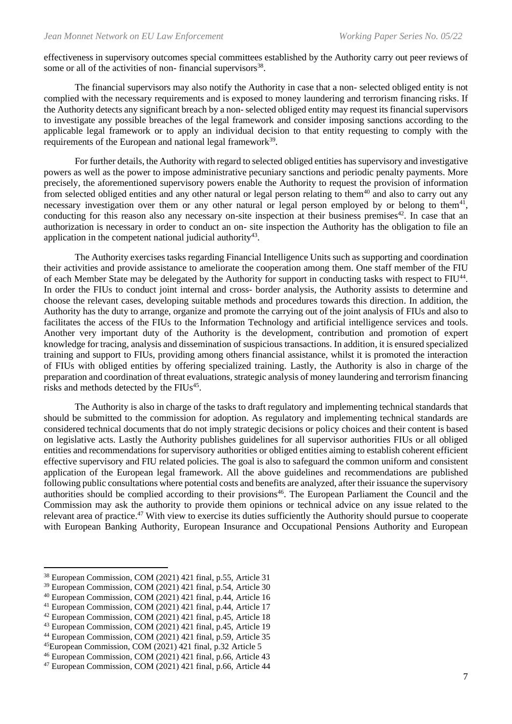effectiveness in supervisory outcomes special committees established by the Authority carry out peer reviews of some or all of the activities of non-financial supervisors<sup>38</sup>.

The financial supervisors may also notify the Authority in case that a non- selected obliged entity is not complied with the necessary requirements and is exposed to money laundering and terrorism financing risks. If the Authority detects any significant breach by a non- selected obliged entity may request its financial supervisors to investigate any possible breaches of the legal framework and consider imposing sanctions according to the applicable legal framework or to apply an individual decision to that entity requesting to comply with the requirements of the European and national legal framework<sup>39</sup>.

For further details, the Authority with regard to selected obliged entities has supervisory and investigative powers as well as the power to impose administrative pecuniary sanctions and periodic penalty payments. More precisely, the aforementioned supervisory powers enable the Authority to request the provision of information from selected obliged entities and any other natural or legal person relating to them<sup>40</sup> and also to carry out any necessary investigation over them or any other natural or legal person employed by or belong to them<sup>41</sup>, conducting for this reason also any necessary on-site inspection at their business premises<sup>42</sup>. In case that an authorization is necessary in order to conduct an on- site inspection the Authority has the obligation to file an application in the competent national judicial authority<sup>43</sup>.

The Authority exercises tasks regarding Financial Intelligence Units such as supporting and coordination their activities and provide assistance to ameliorate the cooperation among them. One staff member of the FIU of each Member State may be delegated by the Authority for support in conducting tasks with respect to FIU<sup>44</sup>. In order the FIUs to conduct joint internal and cross- border analysis, the Authority assists to determine and choose the relevant cases, developing suitable methods and procedures towards this direction. In addition, the Authority has the duty to arrange, organize and promote the carrying out of the joint analysis of FIUs and also to facilitates the access of the FIUs to the Information Technology and artificial intelligence services and tools. Another very important duty of the Authority is the development, contribution and promotion of expert knowledge for tracing, analysis and dissemination of suspicious transactions. In addition, it is ensured specialized training and support to FIUs, providing among others financial assistance, whilst it is promoted the interaction of FIUs with obliged entities by offering specialized training. Lastly, the Authority is also in charge of the preparation and coordination of threat evaluations, strategic analysis of money laundering and terrorism financing risks and methods detected by the FIUs<sup>45</sup>.

The Authority is also in charge of the tasks to draft regulatory and implementing technical standards that should be submitted to the commission for adoption. As regulatory and implementing technical standards are considered technical documents that do not imply strategic decisions or policy choices and their content is based on legislative acts. Lastly the Authority publishes guidelines for all supervisor authorities FIUs or all obliged entities and recommendations for supervisory authorities or obliged entities aiming to establish coherent efficient effective supervisory and FIU related policies. The goal is also to safeguard the common uniform and consistent application of the European legal framework. All the above guidelines and recommendations are published following public consultations where potential costs and benefits are analyzed, after their issuance the supervisory authorities should be complied according to their provisions<sup>46</sup>. The European Parliament the Council and the Commission may ask the authority to provide them opinions or technical advice on any issue related to the relevant area of practice.<sup>47</sup> With view to exercise its duties sufficiently the Authority should pursue to cooperate with European Banking Authority, European Insurance and Occupational Pensions Authority and European

<sup>38</sup> European Commission, COM (2021) 421 final, p.55, Article 31

<sup>39</sup> European Commission, COM (2021) 421 final, p.54, Article 30

<sup>40</sup> European Commission, COM (2021) 421 final, p.44, Article 16

 $41$  European Commission, COM (2021) 421 final, p.44, Article 17

 $42$  European Commission, COM  $(2021)$  421 final, p.45, Article 18

<sup>43</sup> European Commission, COM (2021) 421 final, p.45, Article 19

<sup>44</sup> European Commission, COM (2021) 421 final, p.59, Article 35

<sup>45</sup>European Commission, COM (2021) 421 final, p.32 Article 5

<sup>46</sup> European Commission, COM (2021) 421 final, p.66, Article 43

<sup>47</sup> European Commission, COM (2021) 421 final, p.66, Article 44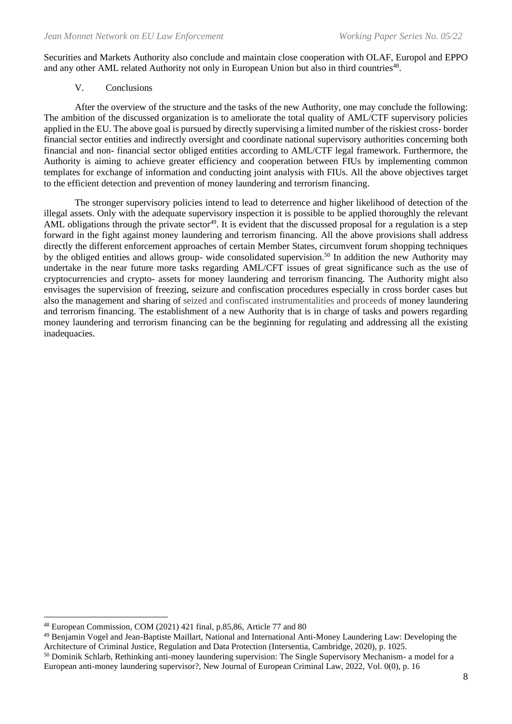Securities and Markets Authority also conclude and maintain close cooperation with OLAF, Europol and EPPO and any other AML related Authority not only in European Union but also in third countries<sup>48</sup>.

#### V. Conclusions

After the overview of the structure and the tasks of the new Authority, one may conclude the following: The ambition of the discussed organization is to ameliorate the total quality of AML/CTF supervisory policies applied in the EU. The above goal is pursued by directly supervising a limited number of the riskiest cross- border financial sector entities and indirectly oversight and coordinate national supervisory authorities concerning both financial and non- financial sector obliged entities according to AML/CTF legal framework. Furthermore, the Authority is aiming to achieve greater efficiency and cooperation between FIUs by implementing common templates for exchange of information and conducting joint analysis with FIUs. All the above objectives target to the efficient detection and prevention of money laundering and terrorism financing.

The stronger supervisory policies intend to lead to deterrence and higher likelihood of detection of the illegal assets. Only with the adequate supervisory inspection it is possible to be applied thoroughly the relevant AML obligations through the private sector<sup>49</sup>. It is evident that the discussed proposal for a regulation is a step forward in the fight against money laundering and terrorism financing. All the above provisions shall address directly the different enforcement approaches of certain Member States, circumvent forum shopping techniques by the obliged entities and allows group- wide consolidated supervision.<sup>50</sup> In addition the new Authority may undertake in the near future more tasks regarding AML/CFT issues of great significance such as the use of cryptocurrencies and crypto- assets for money laundering and terrorism financing. The Authority might also envisages the supervision of freezing, seizure and confiscation procedures especially in cross border cases but also the management and sharing of seized and confiscated instrumentalities and proceeds of money laundering and terrorism financing. The establishment of a new Authority that is in charge of tasks and powers regarding money laundering and terrorism financing can be the beginning for regulating and addressing all the existing inadequacies.

<sup>49</sup> Benjamin Vogel and Jean-Baptiste Maillart, National and International Anti-Money Laundering Law: Developing the Architecture of Criminal Justice, Regulation and Data Protection (Intersentia, Cambridge, 2020), p. 1025.

<sup>48</sup> European Commission, COM (2021) 421 final, p.85,86, Article 77 and 80

<sup>&</sup>lt;sup>50</sup> Dominik Schlarb, Rethinking anti-money laundering supervision: The Single Supervisory Mechanism- a model for a European anti-money laundering supervisor?, New Journal of European Criminal Law, 2022, Vol. 0(0), p. 16